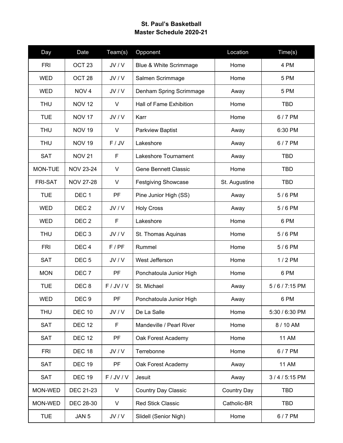## **St. Paul's Basketball Master Schedule 2020-21**

| Day            | Date              | Team(s)   | Opponent                    | Location           | Time(s)        |
|----------------|-------------------|-----------|-----------------------------|--------------------|----------------|
| <b>FRI</b>     | OCT <sub>23</sub> | JV/V      | Blue & White Scrimmage      | Home               | 4 PM           |
| <b>WED</b>     | OCT <sub>28</sub> | JV/V      | Salmen Scrimmage            | Home               | 5 PM           |
| <b>WED</b>     | NOV <sub>4</sub>  | JV/V      | Denham Spring Scrimmage     | Away               | 5 PM           |
| <b>THU</b>     | <b>NOV 12</b>     | V         | Hall of Fame Exhibition     | Home               | <b>TBD</b>     |
| <b>TUE</b>     | <b>NOV 17</b>     | JV/V      | Karr                        | Home               | 6/7 PM         |
| <b>THU</b>     | <b>NOV 19</b>     | V         | <b>Parkview Baptist</b>     | Away               | 6:30 PM        |
| <b>THU</b>     | <b>NOV 19</b>     | $F /$ JV  | Lakeshore                   | Away               | 6/7 PM         |
| <b>SAT</b>     | <b>NOV 21</b>     | F         | Lakeshore Tournament        | Away               | TBD            |
| MON-TUE        | <b>NOV 23-24</b>  | $\vee$    | <b>Gene Bennett Classic</b> | Home               | <b>TBD</b>     |
| <b>FRI-SAT</b> | <b>NOV 27-28</b>  | $\vee$    | <b>Festgiving Showcase</b>  | St. Augustine      | <b>TBD</b>     |
| <b>TUE</b>     | DEC <sub>1</sub>  | <b>PF</b> | Pine Junior High (SS)       | Away               | 5/6 PM         |
| <b>WED</b>     | DEC <sub>2</sub>  | JV/V      | <b>Holy Cross</b>           | Away               | 5/6 PM         |
| <b>WED</b>     | DEC <sub>2</sub>  | F         | Lakeshore                   | Home               | 6 PM           |
| <b>THU</b>     | DEC <sub>3</sub>  | JV/V      | St. Thomas Aquinas          | Home               | 5/6 PM         |
| <b>FRI</b>     | DEC <sub>4</sub>  | F/PF      | Rummel                      | Home               | 5/6 PM         |
| <b>SAT</b>     | DEC <sub>5</sub>  | JV/V      | West Jefferson              | Home               | 1/2 PM         |
| <b>MON</b>     | DEC <sub>7</sub>  | PF        | Ponchatoula Junior High     | Home               | 6 PM           |
| <b>TUE</b>     | DEC <sub>8</sub>  | F/JV/V    | St. Michael                 | Away               | 5/6/7:15 PM    |
| <b>WED</b>     | DEC <sub>9</sub>  | PF        | Ponchatoula Junior High     | Away               | 6 PM           |
| <b>THU</b>     | <b>DEC 10</b>     | JV/V      | De La Salle                 | Home               | 5:30 / 6:30 PM |
| <b>SAT</b>     | <b>DEC 12</b>     | F         | Mandeville / Pearl River    | Home               | 8 / 10 AM      |
| <b>SAT</b>     | <b>DEC 12</b>     | PF        | Oak Forest Academy          | Home               | <b>11 AM</b>   |
| <b>FRI</b>     | <b>DEC 18</b>     | JV/V      | Terrebonne                  | Home               | 6/7 PM         |
| <b>SAT</b>     | <b>DEC 19</b>     | <b>PF</b> | Oak Forest Academy          | Away               | <b>11 AM</b>   |
| <b>SAT</b>     | <b>DEC 19</b>     | F/JV/V    | Jesuit                      | Away               | 3/4/5:15 PM    |
| MON-WED        | DEC 21-23         | V         | <b>Country Day Classic</b>  | <b>Country Day</b> | <b>TBD</b>     |
| MON-WED        | DEC 28-30         | V         | <b>Red Stick Classic</b>    | Catholic-BR        | <b>TBD</b>     |
| <b>TUE</b>     | JAN 5             | JV/V      | Slidell (Senior Nigh)       | Home               | 6/7 PM         |